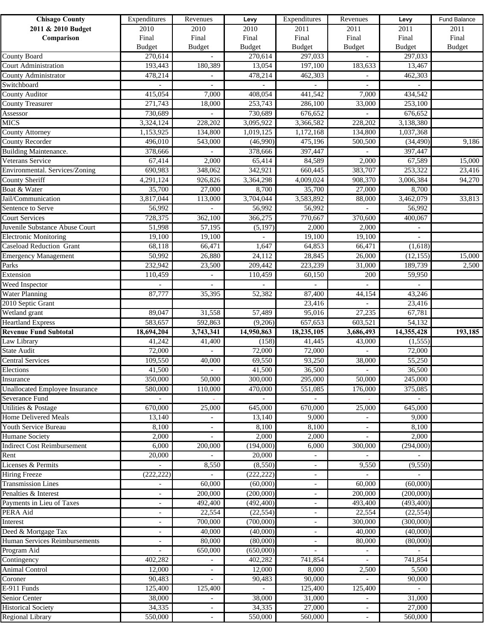| <b>Chisago County</b>                 | Expenditures             | Revenues                 | Levy          | Expenditures             | Revenues                 | Levy                     | Fund Balance  |
|---------------------------------------|--------------------------|--------------------------|---------------|--------------------------|--------------------------|--------------------------|---------------|
| 2011 & 2010 Budget                    | 2010                     | 2010                     | 2010          | 2011                     | 2011                     | 2011                     | 2011          |
| Comparison                            | Final                    | Final                    | Final         | Final                    | Final                    | Final                    | Final         |
|                                       | <b>Budget</b>            | <b>Budget</b>            | <b>Budget</b> | <b>Budget</b>            | <b>Budget</b>            | <b>Budget</b>            | <b>Budget</b> |
| <b>County Board</b>                   | 270,614                  |                          | 270,614       | 297,033                  |                          | 297,033                  |               |
| <b>Court Administration</b>           | 193,443                  | 180,389                  | 13,054        | 197,100                  | 183,633                  | 13,467                   |               |
| County Administrator                  | 478,214                  |                          | 478,214       | 462,303                  |                          | 462,303                  |               |
| Switchboard                           |                          |                          |               |                          |                          |                          |               |
| <b>County Auditor</b>                 | 415,054                  | 7,000                    | 408,054       | 441,542                  | 7,000                    | 434,542                  |               |
| <b>County Treasurer</b>               | 271,743                  | 18,000                   | 253,743       | 286,100                  | 33,000                   | 253,100                  |               |
| Assessor                              | 730,689                  |                          | 730,689       | 676,652                  |                          | 676,652                  |               |
| <b>MICS</b>                           | 3,324,124                | 228,202                  | 3,095,922     | 3,366,582                | 228,202                  | 3,138,380                |               |
| <b>County Attorney</b>                | 1,153,925                | 134,800                  | 1,019,125     | 1,172,168                | 134,800                  | 1,037,368                |               |
| <b>County Recorder</b>                | 496,010                  | 543,000                  | (46,990)      | 475,196                  | 500,500                  | (34, 490)                | 9,186         |
| <b>Building Maintenance.</b>          | 378,666                  |                          | 378,666       | 397,447                  |                          | 397,447                  |               |
| Veterans Service                      | 67,414                   | 2,000                    | 65,414        | 84,589                   | 2,000                    | 67,589                   | 15,000        |
| Environmental. Services/Zoning        | 690,983                  | 348,062                  | 342,921       | 660,445                  | 383,707                  | 253,322                  | 23,416        |
| <b>County Sheriff</b>                 | 4,291,124                | 926,826                  | 3,364,298     | 4,009,024                | 908,370                  | 3,006,384                | 94,270        |
| Boat & Water                          | 35,700                   | 27,000                   | 8,700         | 35,700                   | 27,000                   | 8,700                    |               |
| Jail/Communication                    | 3,817,044                | 113,000                  | 3,704,044     | 3,583,892                | 88,000                   | 3,462,079                | 33,813        |
| Sentence to Serve                     | 56,992                   |                          | 56,992        | 56,992                   |                          | 56,992                   |               |
| <b>Court Services</b>                 | 728,375                  | 362,100                  | 366,275       | 770,667                  | 370,600                  | 400,067                  |               |
| Juvenile Substance Abuse Court        | 51,998                   | 57,195                   | (5, 197)      | 2,000                    | 2,000                    |                          |               |
| <b>Electronic Monitoring</b>          | 19,100                   | 19,100                   |               | 19,100                   | 19,100                   |                          |               |
| <b>Caseload Reduction Grant</b>       | 68,118                   | 66,471                   | 1,647         | 64,853                   | 66,471                   | (1,618)                  |               |
| <b>Emergency Management</b>           | 50,992                   | 26,880                   | 24,112        | 28,845                   | 26,000                   | (12, 155)                | 15,000        |
| Parks                                 | 232,942                  | 23,500                   | 209,442       | 223,239                  | 31,000                   | 189,739                  | 2,500         |
| Extension                             | 110,459                  |                          | 110,459       | 60,150                   | 200                      | 59,950                   |               |
| Weed Inspector                        |                          |                          |               |                          |                          |                          |               |
| <b>Water Planning</b>                 | 87,777                   | 35,395                   | 52,382        | 87,400                   | 44,154                   | 43,246                   |               |
| 2010 Septic Grant                     |                          |                          |               | 23,416                   |                          | 23,416                   |               |
| Wetland grant                         | 89,047                   | 31,558                   | 57,489        | 95,016                   | 27,235                   | 67,781                   |               |
| <b>Heartland Express</b>              | 583,657                  | 592,863                  | (9,206)       | 657,653                  | 603,521                  | 54,132                   |               |
| <b>Revenue Fund Subtotal</b>          | 18,694,204               | 3,743,341                | 14,950,863    | 18,235,105               | 3,686,493                | 14,355,428               | 193,185       |
| Law Library                           | 41,242                   | 41,400                   | (158)         | 41,445                   | 43,000                   | (1, 555)                 |               |
| <b>State Audit</b>                    | 72,000                   |                          | 72,000        | 72,000                   |                          | 72,000                   |               |
| <b>Central Services</b>               | 109,550                  | 40,000                   | 69,550        | 93,250                   | 38,000                   | 55,250                   |               |
| Elections                             | 41,500                   | $\overline{\phantom{a}}$ | 41,500        | 36,500                   | $\equiv$                 | 36,500                   |               |
| Insurance                             | 350,000                  | 50,000                   | 300,000       | 295,000                  | 50,000                   | 245,000                  |               |
| <b>Unallocated Employee Insurance</b> | 580,000                  | 110,000                  | 470,000       | 551,085                  | 176,000                  | 375,085                  |               |
| Severance Fund                        |                          |                          |               |                          |                          |                          |               |
| <b>Utilities &amp; Postage</b>        | 670,000                  | 25,000                   | 645,000       | 670,000                  | 25,000                   | 645,000                  |               |
| <b>Home Delivered Meals</b>           | 13,140                   | $\sim$                   | 13,140        | 9,000                    | $\sim$                   | 9,000                    |               |
| Youth Service Bureau                  | 8,100                    | $\sim$                   | 8,100         | 8,100                    | $\sim$                   | 8,100                    |               |
| <b>Humane Society</b>                 | 2,000                    | $\overline{\phantom{a}}$ | 2,000         | 2,000                    | $\overline{\phantom{a}}$ | 2,000                    |               |
| <b>Indirect Cost Reimbursement</b>    | 6,000                    | 200,000                  | (194,000)     | 6,000                    | 300,000                  | (294,000)                |               |
| Rent                                  | 20,000                   | $\overline{a}$           | 20,000        | $\overline{\phantom{a}}$ | $\overline{\phantom{a}}$ | $\overline{\phantom{a}}$ |               |
| Licenses & Permits                    |                          | 8,550                    | (8,550)       | $\overline{\phantom{a}}$ | 9,550                    | (9,550)                  |               |
| <b>Hiring Freeze</b>                  | (222, 222)               |                          | (222, 222)    | $\sim$                   |                          | $\overline{\phantom{a}}$ |               |
| <b>Transmission Lines</b>             |                          | 60,000                   | (60,000)      | $\overline{\phantom{a}}$ | 60,000                   | (60,000)                 |               |
| Penalties & Interest                  | $\overline{\phantom{a}}$ | 200,000                  | (200,000)     | $\overline{\phantom{a}}$ | 200,000                  | (200,000)                |               |
| Payments in Lieu of Taxes             | $\sim$                   | 492,400                  | (492, 400)    |                          | 493,400                  | (493, 400)               |               |
| PERA Aid                              |                          | 22,554                   | (22, 554)     |                          | 22,554                   | (22, 554)                |               |
| Interest                              | $\overline{\phantom{0}}$ | 700,000                  | (700,000)     |                          | 300,000                  | (300,000)                |               |
| Deed & Mortgage Tax                   | $\overline{\phantom{a}}$ | 40,000                   | (40,000)      | ÷,                       | 40,000                   | (40,000)                 |               |
| Human Services Reimbursements         |                          | 80,000                   | (80,000)      |                          | 80,000                   | (80,000)                 |               |
| Program Aid                           |                          | 650,000                  | (650,000)     |                          |                          |                          |               |
| Contingency                           | 402,282                  | $\sim$                   | 402,282       | 741,854                  |                          | 741,854                  |               |
| Animal Control                        | 12,000                   | $\sim$                   | 12,000        | 8,000                    | 2,500                    | 5,500                    |               |
| Coroner                               | 90,483                   |                          | 90,483        | 90,000                   |                          | 90,000                   |               |
| E-911 Funds                           | 125,400                  | 125,400                  |               | 125,400                  | 125,400                  |                          |               |
| Senior Center                         | 38,000                   |                          | 38,000        | 31,000                   |                          | 31,000                   |               |
| <b>Historical Society</b>             | 34,335                   | $\overline{\phantom{a}}$ | 34,335        | 27,000                   | $\sim$                   | 27,000                   |               |
| <b>Regional Library</b>               | 550,000                  | $\overline{\phantom{a}}$ | 550,000       | 560,000                  | $\overline{\phantom{a}}$ | 560,000                  |               |